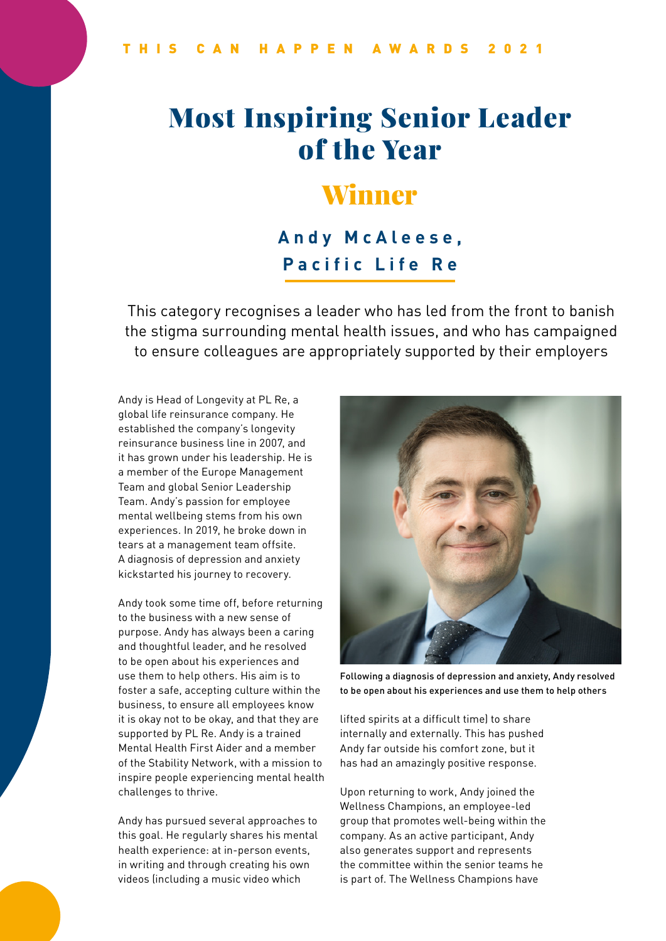# Most Inspiring Senior Leader of the Year

### Winner

#### **Andy McAleese, Pacific Life Re**

This category recognises a leader who has led from the front to banish the stigma surrounding mental health issues, and who has campaigned to ensure colleagues are appropriately supported by their employers

Andy is Head of Longevity at PL Re, a global life reinsurance company. He established the company's longevity reinsurance business line in 2007, and it has grown under his leadership. He is a member of the Europe Management Team and global Senior Leadership Team. Andy's passion for employee mental wellbeing stems from his own experiences. In 2019, he broke down in tears at a management team offsite. A diagnosis of depression and anxiety kickstarted his journey to recovery.

Andy took some time off, before returning to the business with a new sense of purpose. Andy has always been a caring and thoughtful leader, and he resolved to be open about his experiences and use them to help others. His aim is to foster a safe, accepting culture within the business, to ensure all employees know it is okay not to be okay, and that they are supported by PL Re. Andy is a trained Mental Health First Aider and a member of the Stability Network, with a mission to inspire people experiencing mental health challenges to thrive.

Andy has pursued several approaches to this goal. He regularly shares his mental health experience: at in-person events, in writing and through creating his own videos (including a music video which



Following a diagnosis of depression and anxiety, Andy resolved to be open about his experiences and use them to help others

lifted spirits at a difficult time) to share internally and externally. This has pushed Andy far outside his comfort zone, but it has had an amazingly positive response.

Upon returning to work, Andy joined the Wellness Champions, an employee-led group that promotes well-being within the company. As an active participant, Andy also generates support and represents the committee within the senior teams he is part of. The Wellness Champions have